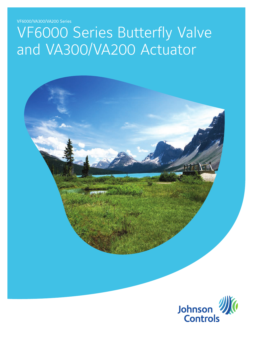VF6000/VA300/VA200 Series

# VF6000 Series Butterfly Valve and VA300/VA200 Actuator

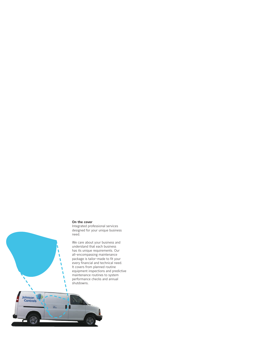### **On the cover**

Johnson



We care about your business and understand that each business has its unique requirements. Our all-encompassing maintenance package is tailor-made to fit your every financial and technical need. It covers from planned routine equipment inspections and predictive maintenance routines to system performance checks and annual shutdowns.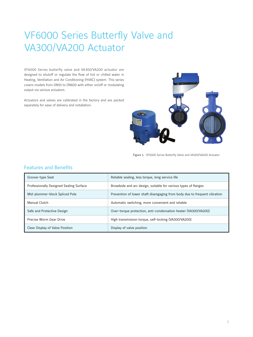# VF6000 Series Butterfly Valve and VA300/VA200 Actuator

VF6000 Series butterfly valve and VA300/VA200 actuator are designed to shutoff or regulate the flow of hot or chilled water in Heating, Ventilation and Air Conditioning (HVAC) system. This series covers models from DN50 to DN600 with either on/off or modulating output via various actuators.

Actuators and valves are calibrated in the factory and are packed separately for ease of delivery and installation.



Figure 1. VF6000 Series Butterfly Valve and VA300/VA200 Actuator

## Features and Benefits

| Groove-type Seat                        | Reliable sealing, less torque, long service life                          |
|-----------------------------------------|---------------------------------------------------------------------------|
| Professionally Designed Sealing Surface | Broadside and arc design, suitable for various types of flanges           |
| Mid-plummer-block Spliced Pole          | Prevention of lower shaft disengaging from body due to frequent vibration |
| Manual Clutch                           | Automatic switching, more convenient and reliable                         |
| Safe and Protective Design              | Over-torque protection, anti-condensation heater (VA300/VA200)            |
| Precise Worm Gear Drive                 | High transmission torque, self-locking (VA300/VA200)                      |
| Clear Display of Valve Position         | Display of valve position                                                 |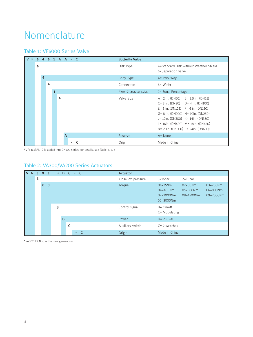# Nomenclature

## Table 1: VF6000 Series Valve



\*VF6461PAN-C is added into DN600 series, for details, see Table 4, 5, 6

## Table 2: VA300/VA200 Series Actuators



\*VA302BDCN-C is the new generation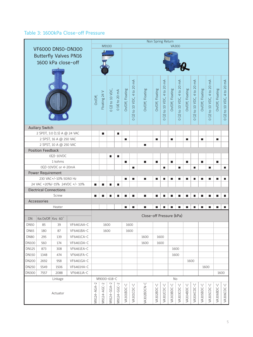## Table 3: 1600kPa Close-off Pressure

|              |                                             |                              |                               |             |               |                  |                |                  |                           | Non Spring Return        |                  |                        |                  |                           |                  |                           |                  |                           |                  |                           |
|--------------|---------------------------------------------|------------------------------|-------------------------------|-------------|---------------|------------------|----------------|------------------|---------------------------|--------------------------|------------------|------------------------|------------------|---------------------------|------------------|---------------------------|------------------|---------------------------|------------------|---------------------------|
|              |                                             |                              | <b>VF6000 DN50-DN300</b>      |             |               | M9100            |                |                  |                           |                          |                  |                        | <b>VA300</b>     |                           |                  |                           |                  |                           |                  |                           |
|              |                                             |                              | <b>Butterfly Valves PN16</b>  |             |               |                  |                |                  |                           |                          |                  |                        |                  |                           |                  |                           |                  |                           |                  |                           |
|              |                                             | 1600 kPa close-off           |                               |             |               |                  |                |                  |                           |                          |                  |                        |                  |                           |                  |                           |                  |                           |                  |                           |
|              |                                             |                              |                               |             |               |                  |                |                  |                           |                          |                  |                        |                  |                           |                  |                           |                  |                           |                  |                           |
|              |                                             |                              |                               |             |               |                  |                |                  |                           |                          |                  |                        |                  |                           |                  |                           |                  |                           |                  |                           |
|              |                                             |                              |                               |             |               |                  |                |                  |                           |                          |                  |                        |                  |                           |                  |                           |                  |                           |                  |                           |
|              |                                             |                              |                               |             |               |                  |                |                  |                           |                          |                  | $\mathbb{M}$           |                  |                           |                  |                           |                  |                           |                  |                           |
|              |                                             |                              |                               |             |               |                  |                |                  |                           |                          |                  |                        |                  |                           |                  |                           |                  |                           |                  |                           |
|              |                                             |                              |                               |             |               |                  |                |                  |                           |                          |                  |                        |                  |                           |                  |                           |                  |                           |                  |                           |
|              |                                             |                              |                               | On/Off,     | Floating 24 V | 0 (2) to 10 VDC, | 0 (4) to 20 mA | On/Off, Floating | (2) to 10 VDC, 4 to 20 mA | On/Off, Floating         | On/Off, Floating | (2) to 10 VDC, 4 to 20 | On/Off, Floating | (2) to 10 VDC, 4 to 20 mA | On/Off, Floating | (2) to 10 VDC, 4 to 20 mA | On/Off, Floating | (2) to 10 VDC, 4 to 20 mA | On/Off, Floating | (2) to 10 VDC, 4 to 20 mA |
|              |                                             |                              |                               |             |               |                  |                |                  |                           |                          |                  |                        |                  |                           |                  |                           |                  |                           |                  |                           |
|              |                                             |                              |                               |             |               |                  |                |                  |                           |                          |                  |                        |                  |                           |                  |                           |                  |                           |                  |                           |
|              |                                             |                              |                               |             |               |                  |                |                  | $\circ$                   |                          |                  | $\circ$                |                  | $\circ$                   |                  | $\circ$                   |                  | $\circ$                   |                  | $\circ$                   |
|              | <b>Auiliary Switch</b>                      |                              |                               |             |               |                  |                |                  |                           |                          |                  |                        |                  |                           |                  |                           |                  |                           |                  |                           |
|              |                                             | 2 SPDT, 3.0 (1.5) A @ 24 VAC |                               |             | П             |                  | П              |                  |                           |                          |                  |                        |                  |                           |                  |                           |                  |                           |                  |                           |
|              |                                             | 2 SPST, 16 A @ 250 VAC       |                               |             |               |                  |                | П                |                           |                          | П                |                        | П                |                           | П                |                           | П                |                           | П                |                           |
|              |                                             | 2 SPST, 10 A @ 250 VAC       |                               |             |               |                  |                |                  |                           | П                        |                  |                        |                  |                           |                  |                           |                  |                           |                  |                           |
|              | <b>Position Feedback</b>                    |                              |                               |             |               |                  |                |                  |                           |                          |                  |                        |                  |                           |                  |                           |                  |                           |                  |                           |
|              |                                             | $O(2)-10VDC$                 |                               |             |               | П                | П              |                  |                           |                          |                  |                        |                  |                           |                  |                           |                  |                           |                  |                           |
|              | 1 kohms                                     |                              |                               |             |               |                  |                | П                |                           | П                        | П                |                        | П                |                           | П                |                           | П                |                           | П                |                           |
|              | 0(2)-10VDC or 4-20mA                        |                              |                               |             |               |                  |                |                  | П                         |                          |                  | п                      |                  | П                         |                  | П                         |                  | П                         |                  | П                         |
|              | Power Requirement<br>230 VAC+/-10% 50/60 Hz |                              |                               |             |               |                  |                |                  |                           |                          |                  |                        |                  |                           |                  |                           |                  |                           |                  |                           |
|              |                                             |                              | 24 VAC +20%/-15% 24VDC +/-10% |             |               |                  |                | П                | П                         | П                        | П                | П                      | П                | П                         | П                | П                         | П                | П                         | П                | П                         |
|              | <b>Electrical Connections</b>               |                              |                               | П           | г             |                  | П              |                  |                           |                          |                  |                        |                  |                           |                  |                           |                  |                           |                  |                           |
|              |                                             | Screw                        |                               | П           | П             | П                | П              |                  | П                         | П                        | П                | П                      | ÷,               |                           |                  | П                         | Г                |                           | П                | П                         |
|              | Accessories                                 |                              |                               |             |               |                  |                |                  |                           |                          |                  |                        |                  |                           |                  |                           |                  |                           |                  |                           |
|              |                                             | Heater                       |                               |             |               |                  |                | П                | П                         | П                        | П                | П                      | ٦                | г                         | П                | П                         | П                | П                         | П                | П                         |
|              |                                             |                              |                               |             |               |                  |                |                  |                           |                          |                  |                        |                  |                           |                  |                           |                  |                           |                  |                           |
| DN           | Kvs On/Off Kvs 60°                          |                              |                               |             |               |                  |                |                  |                           | Close-off Pressure (kPa) |                  |                        |                  |                           |                  |                           |                  |                           |                  |                           |
| <b>DN50</b>  | 85                                          | 39                           | VF6461AA-C                    |             |               | 1600             |                |                  | 1600                      |                          |                  |                        |                  |                           |                  |                           |                  |                           |                  |                           |
| <b>DN65</b>  | 180                                         | 87                           | VF6461BA-C                    |             |               | 1600             |                |                  | 1600                      |                          |                  |                        |                  |                           |                  |                           |                  |                           |                  |                           |
| <b>DN80</b>  | 295                                         | 139                          | VF6461CA-C                    |             |               |                  |                |                  |                           | 1600                     |                  | 1600                   |                  |                           |                  |                           |                  |                           |                  |                           |
| <b>DN100</b> | 560                                         | 174                          | VF6461DA-C                    |             |               |                  |                |                  |                           | 1600                     |                  | 1600                   |                  |                           |                  |                           |                  |                           |                  |                           |
| <b>DN125</b> | 873                                         | 308                          | VF6461EA-C                    |             |               |                  |                |                  |                           |                          |                  |                        |                  | 1600                      |                  |                           |                  |                           |                  |                           |
| <b>DN150</b> | 1348                                        | 474                          | VF6461FA-C                    |             |               |                  |                |                  |                           |                          |                  |                        |                  | 1600                      |                  |                           |                  |                           |                  |                           |
| <b>DN200</b> | 2692                                        | 958                          | VF6461GA-C                    |             |               |                  |                |                  |                           |                          |                  |                        |                  |                           |                  | 1600                      |                  |                           |                  |                           |
| <b>DN250</b> | 5549                                        | 1506                         | VF6461HA-C                    |             |               |                  |                |                  |                           |                          |                  |                        |                  |                           |                  |                           | 1600             |                           |                  |                           |
| <b>DN300</b> | 7557                                        | 2088                         | VF6461JA-C                    |             |               |                  |                |                  |                           |                          |                  |                        |                  |                           |                  |                           |                  |                           |                  | 1600                      |
|              |                                             | Linkage                      |                               |             |               | M9000-618-C      |                |                  |                           |                          |                  |                        | No               |                           |                  |                           |                  |                           |                  |                           |
|              |                                             |                              |                               |             |               |                  |                |                  |                           |                          |                  |                        |                  |                           |                  |                           |                  |                           |                  |                           |
|              |                                             |                              | M9124-AGA-2                   | M9124-AGC-2 | M9124-GGA-2   | M9124-GGC-2      | J-DOBDC-C      | VA301CDC-C       | VA302BDCN-C               | VA302BDC-C               | VA302CDC-C       | J-DOBDC-C              | VA303CDC-C       | VA304BDC-C                | VA304CDC-C       | VA305BDC-C                | VA305CDC-C       | VA306BDC-C                | VA306CDC-C       |                           |
|              | Actuator                                    |                              |                               |             |               |                  |                |                  |                           |                          |                  |                        |                  |                           |                  |                           |                  |                           |                  |                           |
|              |                                             |                              |                               |             |               |                  |                |                  |                           |                          |                  |                        |                  |                           |                  |                           |                  |                           |                  |                           |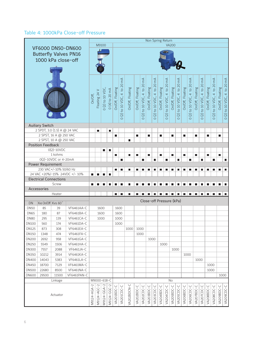## Table 4: 1000kPa Close-off Pressure

|              |                               |                            |                                |             |               |                  |                 |                  |                           | Non Spring Return |                  |                          |                          |                        |                  |                        |                  |                       |                  |                           |                  |                          |                  |                           |                  |                           |
|--------------|-------------------------------|----------------------------|--------------------------------|-------------|---------------|------------------|-----------------|------------------|---------------------------|-------------------|------------------|--------------------------|--------------------------|------------------------|------------------|------------------------|------------------|-----------------------|------------------|---------------------------|------------------|--------------------------|------------------|---------------------------|------------------|---------------------------|
|              |                               |                            |                                |             |               | M9100            |                 |                  |                           |                   |                  |                          |                          |                        |                  |                        | <b>VA200</b>     |                       |                  |                           |                  |                          |                  |                           |                  |                           |
|              |                               |                            | <b>VF6000 DN50-DN600</b>       |             |               |                  |                 |                  |                           |                   |                  |                          |                          |                        |                  |                        |                  |                       |                  |                           |                  |                          |                  |                           |                  |                           |
|              |                               |                            | <b>Butterfly Valves PN16</b>   |             |               |                  |                 |                  |                           |                   |                  |                          |                          |                        |                  |                        |                  |                       |                  |                           |                  |                          |                  |                           |                  |                           |
|              | 1000 kPa close-off            |                            |                                |             |               |                  |                 |                  |                           |                   |                  |                          |                          |                        |                  |                        |                  |                       |                  |                           |                  |                          |                  |                           |                  |                           |
|              |                               |                            |                                |             |               |                  |                 |                  |                           |                   |                  |                          |                          |                        |                  |                        |                  |                       |                  |                           |                  |                          |                  |                           |                  |                           |
|              |                               |                            |                                |             |               |                  |                 |                  |                           |                   |                  |                          |                          |                        |                  |                        |                  |                       |                  |                           |                  |                          |                  |                           |                  |                           |
|              |                               |                            |                                |             |               |                  |                 |                  |                           |                   |                  |                          |                          |                        |                  |                        |                  |                       |                  |                           |                  |                          |                  |                           |                  |                           |
|              |                               |                            |                                |             |               |                  |                 |                  | (2) to 10 VDC, 4 to 20 mA |                   |                  | to 10 VDC, 4 to 20 mA    |                          | $mA$                   |                  | $\mathbb{R}^4$         |                  | to 10 VDC, 4 to 20 mA |                  | (2) to 10 VDC, 4 to 20 mA |                  | $\widetilde{\mathsf{m}}$ |                  | (2) to 10 VDC, 4 to 20 mA |                  | (2) to 10 VDC, 4 to 20 mA |
|              |                               |                            |                                |             |               |                  |                 |                  |                           |                   |                  |                          |                          |                        |                  |                        |                  |                       |                  |                           |                  |                          |                  |                           |                  |                           |
|              |                               |                            |                                |             |               |                  |                 |                  |                           |                   |                  |                          |                          |                        |                  |                        |                  |                       |                  |                           |                  |                          |                  |                           |                  |                           |
|              |                               |                            |                                | On/Off,     | Floating 24 V | 0 (2) to 10 VDC, | $0(4)$ to 20 mA | On/Off, Floating |                           | On/Off, Floating  | On/Off, Floating |                          | On/Off, Floating         | (2) to 10 VDC, 4 to 20 | On/Off, Floating | (2) to 10 VDC, 4 to 20 | On/Off, Floating |                       | On/Off, Floating |                           | On/Off, Floating | (2) to 10 VDC, 4 to 20   | On/Off, Floating |                           | On/Off, Floating |                           |
|              |                               |                            |                                |             |               |                  |                 |                  |                           |                   |                  |                          |                          |                        |                  |                        |                  |                       |                  |                           |                  |                          |                  |                           |                  |                           |
|              |                               |                            |                                |             |               |                  |                 |                  |                           |                   |                  |                          |                          |                        |                  |                        |                  |                       |                  |                           |                  |                          |                  |                           |                  |                           |
|              |                               |                            |                                |             |               |                  |                 |                  |                           |                   |                  | $\widehat{(\mathbf{2})}$ |                          |                        |                  |                        |                  | $\boxed{2}$           |                  |                           |                  |                          |                  |                           |                  |                           |
|              |                               |                            |                                |             |               |                  |                 |                  | $\circ$                   |                   |                  | $\circ$                  |                          | $\circ$                |                  | $\circ$                |                  | $\circ$               |                  | $\circ$                   |                  | $\circ$                  |                  | $\circ$                   |                  | $\circ$                   |
|              | <b>Auiliary Switch</b>        |                            |                                |             |               |                  |                 |                  |                           |                   |                  |                          |                          |                        |                  |                        |                  |                       |                  |                           |                  |                          |                  |                           |                  |                           |
|              | 2 SPDT, 3.0 (1.5) A @ 24 VAC  |                            |                                |             | П             |                  | $\blacksquare$  |                  |                           |                   |                  |                          |                          |                        |                  |                        |                  |                       |                  |                           |                  |                          |                  |                           |                  |                           |
|              |                               | 2 SPST, 16 A @ 250 VAC     |                                |             |               |                  |                 | П                |                           |                   | П                |                          | П                        |                        | П                |                        | $\blacksquare$   |                       | П                |                           | П                |                          | П                |                           | П                |                           |
|              |                               | 2 SPST, 10 A @ 250 VAC     |                                |             |               |                  |                 |                  |                           | П                 |                  |                          |                          |                        |                  |                        |                  |                       |                  |                           |                  |                          |                  |                           |                  |                           |
|              | <b>Position Feedback</b>      |                            |                                |             |               |                  |                 |                  |                           |                   |                  |                          |                          |                        |                  |                        |                  |                       |                  |                           |                  |                          |                  |                           |                  |                           |
|              |                               | $O(2) - 10 VDC$<br>1 kohms |                                |             |               | $\blacksquare$   | $\blacksquare$  |                  |                           | П                 |                  |                          | П                        |                        | П                |                        | П                |                       |                  |                           |                  |                          | П                |                           |                  |                           |
|              |                               | 0(2)-10VDC or 4-20mA       |                                |             |               |                  |                 | $\blacksquare$   | П                         |                   | П                | П                        |                          | П                      |                  | П                      |                  | П                     | $\blacksquare$   | П                         | П                | П                        |                  | П                         | П                | П                         |
|              | Power Requirement             |                            |                                |             |               |                  |                 |                  |                           |                   |                  |                          |                          |                        |                  |                        |                  |                       |                  |                           |                  |                          |                  |                           |                  |                           |
|              |                               | 230 VAC+/-10% 50/60 Hz     |                                |             |               |                  |                 | П                | г                         | П                 | П                | П                        | П                        | П                      | П                | П                      | П                | П                     | П                | П                         | П                | П                        | П                | П                         | П                | П                         |
|              |                               |                            | 24 VAC +20%/-15% 24VDC +/- 10% | П           |               |                  |                 |                  |                           |                   |                  |                          |                          |                        |                  |                        |                  |                       |                  |                           |                  |                          |                  |                           |                  |                           |
|              | <b>Electrical Connections</b> |                            |                                |             |               |                  |                 |                  |                           |                   |                  |                          |                          |                        |                  |                        |                  |                       |                  |                           |                  |                          |                  |                           |                  |                           |
|              |                               | Screw                      |                                | П           |               |                  |                 |                  |                           | г                 |                  |                          |                          |                        |                  |                        |                  |                       |                  |                           |                  |                          |                  |                           |                  | Г                         |
|              | Accessories                   |                            |                                |             |               |                  |                 |                  |                           |                   |                  |                          |                          |                        |                  |                        |                  |                       |                  |                           |                  |                          |                  |                           |                  |                           |
|              |                               | Heater                     |                                |             |               |                  |                 | П                | П                         | П                 |                  |                          |                          |                        |                  | П                      |                  |                       |                  | П                         | П                |                          | П                |                           | П                |                           |
| <b>DN</b>    | Kvs On/Off Kvs 60°            |                            |                                |             |               |                  |                 |                  |                           |                   |                  |                          | Close-off Pressure (kPa) |                        |                  |                        |                  |                       |                  |                           |                  |                          |                  |                           |                  |                           |
| <b>DN50</b>  | 85                            | 39                         | VF6461AA-C                     |             |               | 1600             |                 |                  | 1600                      |                   |                  |                          |                          |                        |                  |                        |                  |                       |                  |                           |                  |                          |                  |                           |                  |                           |
| <b>DN65</b>  | 180                           | 87                         | VF6461BA-C                     |             |               | 1600             |                 |                  | 1600                      |                   |                  |                          |                          |                        |                  |                        |                  |                       |                  |                           |                  |                          |                  |                           |                  |                           |
| <b>DN80</b>  | 295                           | 139                        | VF6461CA-C                     |             |               | 1000             |                 | 1000             |                           |                   |                  |                          |                          |                        |                  |                        |                  |                       |                  |                           |                  |                          |                  |                           |                  |                           |
| <b>DN100</b> | 560                           | 174                        | VF6461DA-C                     |             |               |                  |                 | 1000             |                           |                   |                  |                          |                          |                        |                  |                        |                  |                       |                  |                           |                  |                          |                  |                           |                  |                           |
| DN125        | 873                           | 308                        | VF6461EA-C                     |             |               |                  |                 |                  |                           | $1000$ 1000       |                  |                          |                          |                        |                  |                        |                  |                       |                  |                           |                  |                          |                  |                           |                  |                           |
| <b>DN150</b> | 1348                          | 474                        | VF6461FA-C                     |             |               |                  |                 |                  |                           |                   | 1000             |                          |                          |                        |                  |                        |                  |                       |                  |                           |                  |                          |                  |                           |                  |                           |
| <b>DN200</b> | 2692                          | 958                        | VF6461GA-C                     |             |               |                  |                 |                  |                           |                   |                  |                          |                          | 1000                   |                  |                        |                  |                       |                  |                           |                  |                          |                  |                           |                  |                           |
| <b>DN250</b> | 5549                          | 1506                       | VF6461HA-C                     |             |               |                  |                 |                  |                           |                   |                  |                          |                          |                        |                  | 1000                   |                  |                       |                  |                           |                  |                          |                  |                           |                  |                           |
| <b>DN300</b> | 7557                          | 2088                       | VF6461JA-C                     |             |               |                  |                 |                  |                           |                   |                  |                          |                          |                        |                  |                        |                  | 1000                  |                  |                           |                  |                          |                  |                           |                  |                           |
| <b>DN350</b> | 10212                         | 3914                       | VF6461KA-C                     |             |               |                  |                 |                  |                           |                   |                  |                          |                          |                        |                  |                        |                  |                       |                  | 1000                      |                  |                          |                  |                           |                  |                           |
| <b>DN400</b> | 14043                         | 5383                       | VF6461LA-C                     |             |               |                  |                 |                  |                           |                   |                  |                          |                          |                        |                  |                        |                  |                       |                  |                           |                  | 1000                     |                  |                           |                  |                           |
| <b>DN450</b> | 18700                         | 7129                       | VF6461MA-C                     |             |               |                  |                 |                  |                           |                   |                  |                          |                          |                        |                  |                        |                  |                       |                  |                           |                  |                          | 1000             |                           |                  |                           |
| <b>DN500</b> | 22680                         | 8500                       | VF6461NA-C                     |             |               |                  |                 |                  |                           |                   |                  |                          |                          |                        |                  |                        |                  |                       |                  |                           |                  |                          | 1000             |                           |                  |                           |
| <b>DN600</b> | 29500                         | 11500                      | VF6461PAN-C                    |             |               |                  |                 |                  |                           |                   |                  |                          |                          |                        |                  |                        |                  |                       |                  |                           |                  |                          |                  |                           | 1000             |                           |
|              |                               | Linkage                    |                                |             | M9000-618-C   |                  |                 |                  |                           |                   |                  |                          |                          |                        |                  |                        | No               |                       |                  |                           |                  |                          |                  |                           |                  |                           |
|              |                               |                            |                                |             |               |                  |                 |                  |                           |                   |                  |                          |                          |                        |                  |                        |                  |                       |                  |                           |                  |                          |                  |                           |                  |                           |
|              |                               |                            |                                |             |               |                  |                 |                  |                           |                   |                  |                          |                          |                        |                  |                        |                  |                       |                  |                           |                  |                          |                  |                           |                  |                           |
|              |                               | Actuator                   |                                | M9124-AGA-2 | M9124-AGC-2   | M9124-GGA-2      | M9124-GGC-2     | VA201BDC-C       | VA201CDC-C                | VA202BDCN-C       | VA202BDC-C       | VA202CDC-C               | VA203BDC-C               | VA203CDC-C             | VA204BDC-C       | VA204CDC-C             | VA205BDC-C       | VA205CDC-C            | VA206BDC-C       | VA206CDC-C                | VA207BDC-C       | VA207CDC-C               | VA208BDC-C       | VA208CDC-C                | VA209BDC-C       | VA209CDC-C                |
|              |                               |                            |                                |             |               |                  |                 |                  |                           |                   |                  |                          |                          |                        |                  |                        |                  |                       |                  |                           |                  |                          |                  |                           |                  |                           |
|              |                               |                            |                                |             |               |                  |                 |                  |                           |                   |                  |                          |                          |                        |                  |                        |                  |                       |                  |                           |                  |                          |                  |                           |                  |                           |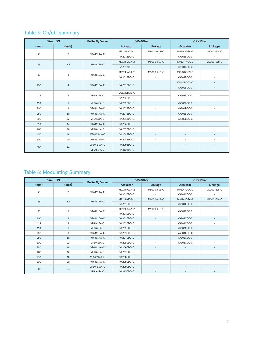# Table 5: On/off Summary

|           | Size DN           | <b>Butterfly Valve</b> |                            | $\triangle$ P=10bar      |                          | $\triangle$ P=16bar      |
|-----------|-------------------|------------------------|----------------------------|--------------------------|--------------------------|--------------------------|
| (mm)      | (inch)            |                        | <b>Actuator</b>            | Linkage                  | <b>Actuator</b>          | Linkage                  |
| 50        | $\overline{2}$    | VF6461AA-C             | M9124-AGA-2                | M9000-618-C              | M9124-AGA-2              | M9000-618-C              |
|           |                   |                        | VA201BDC-C                 | $\overline{\phantom{a}}$ | VA301BDC-C               | $\overline{\phantom{a}}$ |
| 65        |                   | VF6461BA-C             | M9124-AGA-2                | M9000-618-C              | M9124-AGA-2              | M9000-618-C              |
|           | 2.5               |                        | VA201BDC-C                 | $\overline{\phantom{a}}$ | VA301BDC-C               | $\overline{\phantom{a}}$ |
| 80        |                   | <b>VF6461CA-C</b>      | M9124-AGA-2<br>M9000-618-C |                          | VA302BDCN-C              | $\overline{\phantom{a}}$ |
|           | 3                 |                        | VA201BDC-C                 | $\sim$                   | VA302BDC-C               | $\overline{\phantom{a}}$ |
| 100       |                   | VF6461DA-C             |                            |                          | VA302BDCN-C              | $\overline{\phantom{a}}$ |
|           | 4                 |                        | VA201BDC-C                 |                          | VA302BDC-C               | $\overline{\phantom{a}}$ |
| 125       |                   |                        | VA202BDCN-C                | $\equiv$                 |                          | $\overline{\phantom{a}}$ |
|           | 5                 | VF6461EA-C             | VA202BDC-C                 | $\equiv$                 | VA303BDC-C               |                          |
| 150       | 6                 | VF6461FA-C             | VA202BDC-C                 | $\equiv$                 | VA303BDC-C               | $\overline{\phantom{0}}$ |
| 200       | 8                 | VF6461GA-C             | VA203BDC-C                 | $\overline{\phantom{a}}$ | VA304BDC-C               | $\overline{\phantom{a}}$ |
| 250       | 10                | VF6461HA-C             | VA204BDC-C                 | $\overline{\phantom{a}}$ | VA305BDC-C               | $\overline{\phantom{a}}$ |
| 300       | 12                | VF6461JA-C             | VA205BDC-C                 | $\overline{\phantom{a}}$ | VA306BDC-C               | $\sim$                   |
| 350       | 14                | <b>VF6461KA-C</b>      | VA206BDC-C                 | $\overline{\phantom{a}}$ | $\overline{\phantom{a}}$ | $\overline{\phantom{a}}$ |
| 400       | 16                | VF6461LA-C             | VA207BDC-C                 | $\equiv$                 | $\sim$                   | $\overline{\phantom{a}}$ |
| 450       | 18                | <b>VF6461MA-C</b>      | VA208BDC-C                 | $\overline{\phantom{a}}$ | $\overline{\phantom{a}}$ | -                        |
| 500       | 20                | VF6461NA-C             | VA208BDC-C                 | $\overline{\phantom{a}}$ | $\overline{\phantom{a}}$ | $\overline{\phantom{a}}$ |
|           |                   | VF6461PAN-C            | VA209BDC-C                 | $\overline{\phantom{a}}$ | $\overline{\phantom{a}}$ | $\overline{\phantom{a}}$ |
| 600<br>24 | <b>VF6461PA-C</b> | VA310BDC-C             |                            |                          |                          |                          |

# Table 6: Modulating Summary

|      | Size DN        |                        |                 | $\triangle$ P=10bar      |                          | $\triangle$ P=16bar      |
|------|----------------|------------------------|-----------------|--------------------------|--------------------------|--------------------------|
| (mm) | (inch)         | <b>Butterfly Valve</b> | <b>Actuator</b> | Linkage                  | <b>Actuator</b>          | Linkage                  |
| 50   | $\overline{2}$ | VF6461AA-C             | M9124-GGA-2     | M9000-618-C              | M9124-GGA-2              | M9000-618-C              |
|      |                |                        | VA201CDC-C      | $\equiv$                 | VA301CDC-C               | $\overline{\phantom{a}}$ |
| 65   | 2.5            | VF6461BA-C             | M9124-GGA-2     | M9000-618-C              | M9124-GGA-2              | M9000-618-C              |
|      |                |                        | VA201CDC-C      |                          | VA301CDC-C               | $\overline{\phantom{a}}$ |
| 80   |                | <b>VF6461CA-C</b>      | M9124-GGA-2     | M9000-618-C              | VA302CDC-C               |                          |
|      | 3              |                        | VA201CDC-C      | $\equiv$                 |                          |                          |
| 100  | $\overline{4}$ | VF6461DA-C             | VA201CDC-C      |                          | VA302CDC-C               |                          |
| 125  | 5              | VF6461EA-C             | VA202CDC-C      |                          | VA303CDC-C               | $\overline{a}$           |
| 150  | 6              | VF6461FA-C             | VA202CDC-C      | $\overline{\phantom{0}}$ | VA303CDC-C               | $\overline{\phantom{a}}$ |
| 200  | 8              | VF6461GA-C             | VA203CDC-C      | ٠                        | VA304CDC-C               | $\overline{\phantom{a}}$ |
| 250  | 10             | <b>VF6461HA-C</b>      | VA204CDC-C      | $\qquad \qquad -$        | VA305CDC-C               | $\overline{\phantom{a}}$ |
| 300  | 12             | VF6461JA-C             | VA205CDC-C      | ۰                        | VA306CDC-C               | $\overline{\phantom{a}}$ |
| 350  | 14             | <b>VF6461KA-C</b>      | VA206CDC-C      | -                        | $\overline{\phantom{a}}$ | $\overline{\phantom{a}}$ |
| 400  | 16             | VF6461LA-C             | VA207CDC-C      | ۰                        | $\overline{\phantom{a}}$ | $\overline{\phantom{a}}$ |
| 450  | 18             | VF6461MA-C             | VA208CDC-C      | ٠                        |                          |                          |
| 500  | 20             | VF6461NA-C             | VA208CDC-C      | $\equiv$                 | $\bar{a}$                | $\equiv$                 |
| 600  |                | VF6461PAN-C            | VA209CDC-C      |                          |                          | $\overline{\phantom{m}}$ |
|      | 24             | <b>VF6461PA-C</b>      | VA310CDC-C      |                          |                          |                          |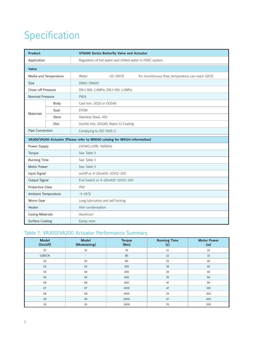# Specification

| <b>Product</b>          |                       | <b>VF6000 Series Butterfly Valve and Actuator</b>                          |                          |                                                    |  |  |  |  |  |  |  |
|-------------------------|-----------------------|----------------------------------------------------------------------------|--------------------------|----------------------------------------------------|--|--|--|--|--|--|--|
| Application             |                       | Regulation of hot water and chilled water in HVAC system                   |                          |                                                    |  |  |  |  |  |  |  |
| Valve                   |                       |                                                                            |                          |                                                    |  |  |  |  |  |  |  |
|                         | Media and Temperature | Water                                                                      | $-10 - 100^{\circ}C$     | for incontinuous flow, temperature can reach 120°C |  |  |  |  |  |  |  |
| <b>Size</b>             |                       | DN50~DN600                                                                 |                          |                                                    |  |  |  |  |  |  |  |
| Close-off Pressure      |                       | DN ≤ 300, 1.6MPa; DN ≥ 350, 1.0MPa                                         |                          |                                                    |  |  |  |  |  |  |  |
| <b>Nominal Pressure</b> |                       | <b>PN16</b>                                                                |                          |                                                    |  |  |  |  |  |  |  |
|                         | Body                  |                                                                            | Cast Iron, GG25 or GGG40 |                                                    |  |  |  |  |  |  |  |
| <b>Materials</b>        | Seat                  | <b>EPDM</b>                                                                |                          |                                                    |  |  |  |  |  |  |  |
|                         | <b>Stem</b>           | Stainless Steel, 410                                                       |                          |                                                    |  |  |  |  |  |  |  |
|                         | <b>Disc</b>           | Ductile Iron, GGG40, Nylon 11 Coating                                      |                          |                                                    |  |  |  |  |  |  |  |
| Pipe Connection         |                       |                                                                            | Complying to ISO 7005-2  |                                                    |  |  |  |  |  |  |  |
|                         |                       | VA300/VA200 Actuator (Please refer to M9000 catalog for M9124 information) |                          |                                                    |  |  |  |  |  |  |  |
| Power Supply            |                       | 230VAC±10% 50/60Hz                                                         |                          |                                                    |  |  |  |  |  |  |  |
| Torque                  |                       | See Table 3                                                                |                          |                                                    |  |  |  |  |  |  |  |
| <b>Running Time</b>     |                       | See Table 3                                                                |                          |                                                    |  |  |  |  |  |  |  |
| <b>Motor Power</b>      |                       | See Table 3                                                                |                          |                                                    |  |  |  |  |  |  |  |
| Input Signal            |                       | on/off or 4~20mA/0~10V/2~10V                                               |                          |                                                    |  |  |  |  |  |  |  |
| Output Signal           |                       | End Switch or 4~20mA/0~10V/2~10V                                           |                          |                                                    |  |  |  |  |  |  |  |
| <b>Protective Class</b> |                       | <b>IP67</b>                                                                |                          |                                                    |  |  |  |  |  |  |  |
| Ambient Temperature     |                       | $-5 - 65^{\circ}C$                                                         |                          |                                                    |  |  |  |  |  |  |  |
| Worm Gear               |                       | Long lubrication and self locking                                          |                          |                                                    |  |  |  |  |  |  |  |
| Heater                  |                       | Anti-condensation                                                          |                          |                                                    |  |  |  |  |  |  |  |
| <b>Casing Materials</b> |                       | Aluminum                                                                   |                          |                                                    |  |  |  |  |  |  |  |
| <b>Surface Coating</b>  |                       | Epoxy resin                                                                |                          |                                                    |  |  |  |  |  |  |  |

## Table 7: VA300/VA200 Actuator Performance Summary

| <b>Model</b><br>(On/off) | <b>Model</b><br>(Modulating) | <b>Torque</b><br>(Nm) | <b>Running Time</b><br>(s) | <b>Motor Power</b><br>(w) |
|--------------------------|------------------------------|-----------------------|----------------------------|---------------------------|
| 01                       | 01                           | 35                    | 11                         | 10                        |
| 02BDCN                   | $\overline{\phantom{a}}$     | 80                    | 22                         | 15                        |
| 02                       | 02                           | 80                    | 19                         | 40                        |
| 03                       | 03                           | 200                   | 39                         | 40                        |
| 04                       | 04                           | 400                   | 29                         | 40                        |
| 05                       | 05                           | 600                   | 39                         | 60                        |
| 06                       | 06                           | 800                   | 47                         | 90                        |
| 07                       | 07                           | 1000                  | 47                         | 120                       |
| 08                       | 08                           | 1500                  | 34                         | 200                       |
| 09                       | 09                           | 2000                  | 47                         | 200                       |
| 10                       | 10                           | 3000                  | 76                         | 200                       |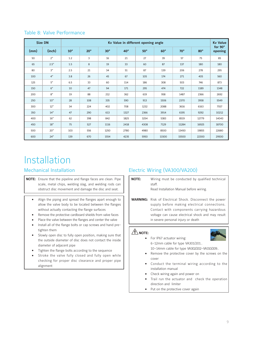|      | <b>Size DN</b> |              |              |            |              | Kv Value in different opening angle |            |            |            | <b>Kv Value</b>    |
|------|----------------|--------------|--------------|------------|--------------|-------------------------------------|------------|------------|------------|--------------------|
| (mm) | (inch)         | $10^{\circ}$ | $20^{\circ}$ | $30^\circ$ | $40^{\circ}$ | $50^\circ$                          | $60^\circ$ | $70^\circ$ | $80^\circ$ | for 90°<br>opening |
| 50   | 2 <sup>n</sup> | 1.2          | 3            | 16         | 21           | 27                                  | 39         | 57         | 75         | 85                 |
| 65   | 2.5"           | 1.5          | 8            | 19         | 33           | 60                                  | 87         | 137        | 180        | 180                |
| 80   | 3"             | 2.5          | 21           | 34         | 51           | 87                                  | 139        | 206        | 278        | 295                |
| 100  | 4"             | 3.8          | 26           | 45         | 67           | 105                                 | 174        | 271        | 405        | 560                |
| 125  | 5"             | 6.5          | 33           | 60         | 114          | 186                                 | 308        | 503        | 746        | 873                |
| 150  | 6"             | 10           | 47           | 94         | 171          | 295                                 | 474        | 722        | 1189       | 1348               |
| 200  | 8"             | 19           | 88           | 212        | 362          | 619                                 | 958        | 1487       | 2366       | 2692               |
| 250  | 10"            | 28           | 108          | 335        | 590          | 913                                 | 1506       | 2370       | 3958       | 5549               |
| 300  | 12"            | 34           | 224          | 402        | 708          | 1232                                | 2088       | 3616       | 6163       | 7557               |
| 350  | 14"            | 47           | 290          | 613        | 1327         | 2366                                | 3914       | 6195       | 9292       | 10212              |
| 400  | 16"            | 62           | 398          | 842        | 1825         | 3254                                | 5383       | 8519       | 12779      | 14043              |
| 450  | 18"            | 75           | 527          | 1116       | 2418         | 4308                                | 7129       | 11284      | 16925      | 18700              |
| 500  | 20"            | 103          | 556          | 1250       | 2780         | 4980                                | 8500       | 13450      | 19855      | 22680              |
| 600  | 24"            | 139          | 670          | 1554       | 4235         | 5950                                | 11500      | 15500      | 22300      | 29500              |

## Table 8: Valve Performance

# Installation

- **NOTE:** Ensure that the pipeline and flange faces are clean. Pipe scale, metal chips, welding slag, and welding rods can obstruct disc movement and damage the disc and seat.
	- Align the piping and spread the flanges apart enough to allow the valve body to be located between the flanges without actually contacting the flange surfaces
	- Remove the protective cardboard shields from valve faces
	- Place the valve between the flanges and center the valve
	- Install all of the flange bolts or cap screws and hand pretighten them
	- Slowly open disc to fully open position, making sure that the outside diameter of disc does not contact the inside diameter of adjacent pipe
	- Tighten the flange bolts according to the sequence
	- Stroke the valve fully closed and fully open while checking for proper disc clearance and proper pipe alignment

## Mechanical Installation Electric Wiring (VA300/VA200)

- **NOTE:** Wiring must be conducted by qualified technical staff. Read Installation Manual before wiring.
- **WARNING:** Risk of Electrical Shock. Disconnect the power supply before making electrical connections. Contact with components carrying hazardous voltage can cause electrical shock and may result in severe personal injury or death

## $\bigwedge$  **NOTE:**



- For IP67 actuator wiring: 6~12mm cable for type VA301/201.. 10~14mm cable for type VA302/202~VA310/209..
- Remove the protective cover by the screws on the cover
- Conduct the terminal wiring according to the installation manual
- Check wiring again and power on
- Trail run the actuator and check the operation direction and limiter
- Put on the protective cover again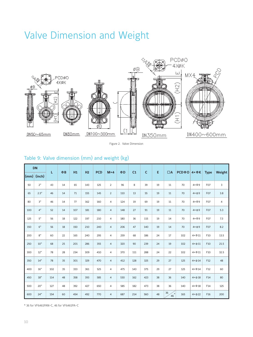# Valve Dimension and Weight



Figure 2. Valve Dimension

# Table 9: Valve dimension (mm) and weight (kg)

|                 | <b>DN</b> | L   | $\Phi$ B | H1  | H <sub>2</sub> | <b>PCD</b> | $M \times 4$   | ΦD  | C <sub>1</sub> | $\mathsf{C}$ | E  | $\Box$ A    | $PCD\Phi O$ 4× $\Phi K$ |                   |                 |        |
|-----------------|-----------|-----|----------|-----|----------------|------------|----------------|-----|----------------|--------------|----|-------------|-------------------------|-------------------|-----------------|--------|
| $\mathsf{(mm)}$ | (inch)    |     |          |     |                |            |                |     |                |              |    |             |                         |                   | <b>Type</b>     | Weight |
| 50              | 2"        | 43  | 14       | 65  | 143            | 125        | $\overline{2}$ | 96  | 8              | 39           | 19 | 11          | 70                      | $4 \times \Phi 9$ | F <sub>O</sub>  | 3      |
| 65              | 2.5"      | 46  | 14       | 71  | 155            | 145        | $\overline{2}$ | 110 | 13             | 55           | 19 | 11          | 70                      | $4 \times 09$     | F <sub>O</sub>  | 3.8    |
| 80              | 3"        | 46  | 14       | 77  | 162            | 160        | $\overline{4}$ | 124 | 19             | 69           | 19 | 11          | 70                      | $4 \times \Phi 9$ | F <sub>O</sub>  | 4      |
| 100             | 4"        | 52  | 14       | 107 | 181            | 180        | $\overline{4}$ | 148 | 27             | 91           | 19 | 11          | 70                      | $4 \times \Phi 9$ | F <sub>O</sub>  | 5.3    |
| 125             | 5"        | 56  | 18       | 122 | 197            | 210        | $\overline{4}$ | 180 | 36             | 115          | 19 | 14          | 70                      | $4 \times \Phi 9$ | F <sub>O</sub>  | 7.3    |
| 150             | 6"        | 56  | 18       | 150 | 210            | 240        | $\overline{4}$ | 206 | 47             | 140          | 19 | 14          | 70                      | $4 \times 09$     | F <sub>O</sub>  | 8.2    |
| 200             | 8"        | 60  | 22       | 165 | 240            | 295        | $\overline{4}$ | 259 | 68             | 186          | 24 | 17          | 102                     | $4 \times 011$    | F10             | 13.5   |
| 250             | 10"       | 68  | 25       | 201 | 286            | 355        | $\overline{4}$ | 320 | 90             | 239          | 24 | 19          | 102                     | $4 \times 011$    | F10             | 21.5   |
| 300             | 12"       | 78  | 28       | 234 | 309            | 410        | $\overline{4}$ | 370 | 111            | 288          | 24 | 22          | 102                     | $4 \times 011$    | F10             | 32.5   |
| 350             | 14"       | 78  | 35       | 301 | 329            | 470        | $\overline{4}$ | 412 | 128            | 325          | 29 | 27          | 125                     | $4 \times 014$    | F12             | 48     |
| 400             | 16"       | 102 | 35       | 333 | 361            | 525        | $\overline{4}$ | 475 | 143            | 375          | 29 | 27          | 125                     | $4 \times 014$    | F12             | 60     |
| 450             | 18"       | 114 | 48       | 358 | 393            | 585        | $\overline{4}$ | 530 | 162            | 423          | 38 | 36          | 140                     | $4 \times 018$    | F14             | 80     |
| 500             | 20"       | 127 | 48       | 392 | 427            | 650        | $\overline{4}$ | 585 | 182            | 473          | 38 | 36          | 140                     | $4 \times 018$    | F14             | 125    |
| 600             | 24"       | 154 | 60       | 454 | 492            | 770        | $\overline{4}$ | 687 | 214            | 560          | 48 | 36<br>$46*$ | 165                     | $4 \times 022$    | F <sub>16</sub> | 200    |

\* 36 for VF6461PAN-C, 46 for VF6461PA-C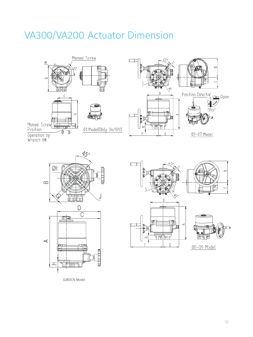# VA300/VA200 Actuator Dimension







 $\Box$ **iti** 

 $\sqrt{2}$ 







08~09 Model

02BDCN Model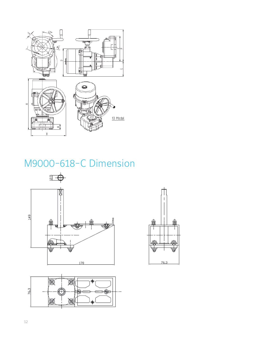

# M9000-618-C Dimension





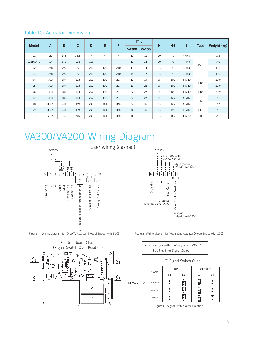## Table 10: Actuator Dimension

|              |       | B     | $\mathsf{C}$ |                          | E                        | F                        |              | $\Box G$                 |    |        |           |                 |             |
|--------------|-------|-------|--------------|--------------------------|--------------------------|--------------------------|--------------|--------------------------|----|--------|-----------|-----------------|-------------|
| <b>Model</b> | A     |       |              | D                        |                          |                          | <b>VA300</b> | <b>VA200</b>             | H  | $\Phi$ | J         | <b>Type</b>     | Weight (kg) |
| 01           | 151   | 145   | 78.5         | $\overline{\phantom{a}}$ | $\overline{\phantom{a}}$ | $\overline{\phantom{a}}$ | 11           | 11                       | 20 | 70     | $4 - M8$  |                 | 2.3         |
| 02BDCN-C     | 194   | 145   | 108          | 165                      | $\overline{\phantom{a}}$ | $\overline{\phantom{a}}$ | 11           | 14                       | 20 | 70     | $4-M8$    | F <sub>O</sub>  | 3.6         |
| 02           | 248   | 122.5 | 79           | 216                      | 120                      | 240                      | 11           | 14                       | 35 | 70     | $4 - M8$  |                 | 10.3        |
| 03           | 248   | 122.5 | 79           | 216                      | 120                      | 240                      | 14           | 17                       | 35 | 70     | $4-M8$    |                 | 10.3        |
| 04           | 303   | 187   | 103          | 262                      | 150                      | 297                      | 17           | 19                       | 55 | 102    | $4 - M10$ | F10             | 20.9        |
| 05           | 303   | 187   | 103          | 262                      | 150                      | 297                      | 19           | 22                       | 55 | 102    | $4 - M10$ |                 | 20.9        |
| 06           | 303   | 187   | 103          | 262                      | 150                      | 297                      | 22           | 27                       | 55 | 102    | $4 - M10$ | F10             | 20.9        |
| 07           | 303   | 187   | 103          | 262                      | 150                      | 297                      | 27           | 27                       | 55 | 125    | $4 - M12$ | F12             | 21.7        |
| 08           | 363.5 | 241   | 119          | 293                      | 161                      | 346                      | 27           | 36                       | 65 | 125    | $4 - M12$ |                 | 35.1        |
| 09           | 363.5 | 241   | 119          | 293                      | 161                      | 346                      | 36           | 36                       | 65 | 140    | $4 - M16$ | F14             | 35.1        |
| 10           | 531.5 | 359   | 266          | 293                      | 161                      | 346                      | 46           | $\overline{\phantom{a}}$ | 85 | 165    | $4-M20$   | F <sub>16</sub> | 75.1        |

# VA300/VA200 Wiring Diagram



Figure 4. Wiring diagram for On/off Actuator (Model Ended with BDC) Figure 5. Wiring diagram for Modulating Actuator (Model Ended with CDC)





| Note: Factory setting of signal is 4~20mA. |
|--------------------------------------------|
| See Fig. 6 for Signal Switch.              |

### I/O Signal Switch Over

|          | SIGNAL    |                | <b>INPUT</b>   | OUTPUT                            |                |  |  |  |
|----------|-----------|----------------|----------------|-----------------------------------|----------------|--|--|--|
|          |           | S <sub>1</sub> | S <sub>2</sub> | S <sub>3</sub>                    | S <sub>4</sub> |  |  |  |
| DEFAULT→ | $4-20mA$  |                | $\bullet$      | $\overline{\bullet}$<br>$\bullet$ |                |  |  |  |
|          | $0 - 10V$ | $\bullet$      | ٠<br>$\bullet$ | $\bullet$                         |                |  |  |  |
|          | $2-10V$   |                | ė              | ٠                                 |                |  |  |  |

Figure 6. Signal Switch Over direction